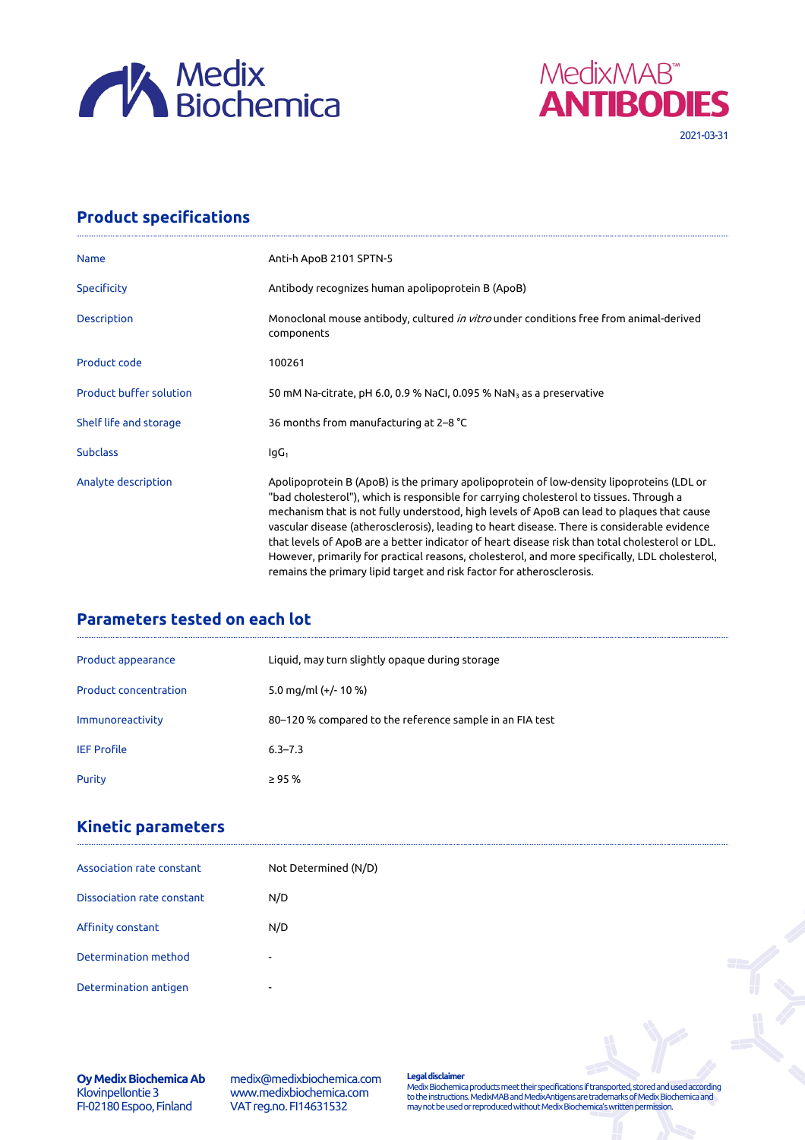



## **Product specifications**

| <b>Name</b>                    | Anti-h ApoB 2101 SPTN-5                                                                                                                                                                                                                                                                                                                                                                                                                                                                                                                                                                                                                                          |  |
|--------------------------------|------------------------------------------------------------------------------------------------------------------------------------------------------------------------------------------------------------------------------------------------------------------------------------------------------------------------------------------------------------------------------------------------------------------------------------------------------------------------------------------------------------------------------------------------------------------------------------------------------------------------------------------------------------------|--|
| Specificity                    | Antibody recognizes human apolipoprotein B (ApoB)                                                                                                                                                                                                                                                                                                                                                                                                                                                                                                                                                                                                                |  |
| Description                    | Monoclonal mouse antibody, cultured in vitro under conditions free from animal-derived<br>components                                                                                                                                                                                                                                                                                                                                                                                                                                                                                                                                                             |  |
| Product code                   | 100261                                                                                                                                                                                                                                                                                                                                                                                                                                                                                                                                                                                                                                                           |  |
| <b>Product buffer solution</b> | 50 mM Na-citrate, pH 6.0, 0.9 % NaCl, 0.095 % NaN <sub>3</sub> as a preservative                                                                                                                                                                                                                                                                                                                                                                                                                                                                                                                                                                                 |  |
| Shelf life and storage         | 36 months from manufacturing at 2-8 °C                                                                                                                                                                                                                                                                                                                                                                                                                                                                                                                                                                                                                           |  |
| <b>Subclass</b>                | lgG <sub>1</sub>                                                                                                                                                                                                                                                                                                                                                                                                                                                                                                                                                                                                                                                 |  |
| Analyte description            | Apolipoprotein B (ApoB) is the primary apolipoprotein of low-density lipoproteins (LDL or<br>"bad cholesterol"), which is responsible for carrying cholesterol to tissues. Through a<br>mechanism that is not fully understood, high levels of ApoB can lead to plagues that cause<br>vascular disease (atherosclerosis), leading to heart disease. There is considerable evidence<br>that levels of ApoB are a better indicator of heart disease risk than total cholesterol or LDL.<br>However, primarily for practical reasons, cholesterol, and more specifically, LDL cholesterol,<br>remains the primary lipid target and risk factor for atherosclerosis. |  |

## **Parameters tested on each lot**

| Product appearance           | Liquid, may turn slightly opaque during storage          |
|------------------------------|----------------------------------------------------------|
| <b>Product concentration</b> | 5.0 mg/ml $(+/- 10 %$                                    |
| Immunoreactivity             | 80–120 % compared to the reference sample in an FIA test |
| <b>IEF Profile</b>           | $6.3 - 7.3$                                              |
| Purity                       | $\geq$ 95 %                                              |

## **Kinetic parameters**

| Association rate constant  | Not Determined (N/D)     |               |
|----------------------------|--------------------------|---------------|
| Dissociation rate constant | N/D                      |               |
| Affinity constant          | N/D                      |               |
| Determination method       | $\overline{\phantom{a}}$ | $\rightarrow$ |
| Determination antigen      | ۰                        |               |

**Oy Medix Biochemica Ab** Klovinpellontie 3 FI-02180 Espoo, Finland

medix@medixbiochemica.com www.medixbiochemica.com VAT reg.no. FI14631532

**Legal disclaimer** Medix Biochemica products meet their specifications if transported, stored and used according to the instructions. MedixMAB and MedixAntigens are trademarks of Medix Biochemica and may not be used or reproduced without Medix Biochemica's written permission.